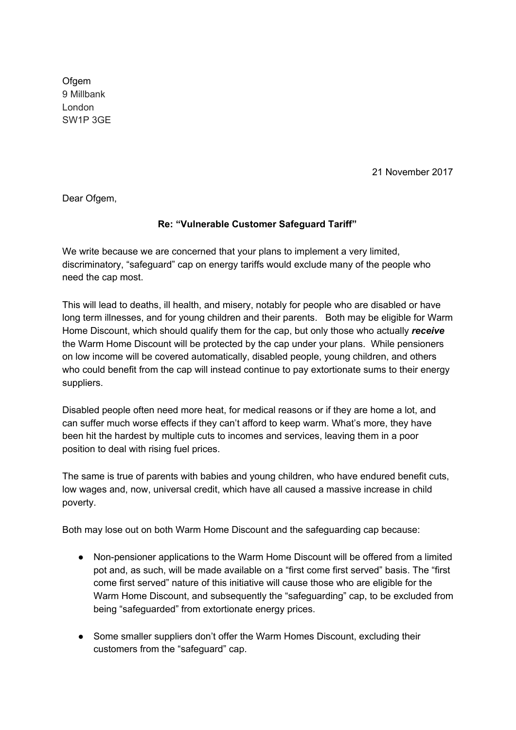**Ofgem** 9 Millbank London SW1P 3GE

21 November 2017

Dear Ofgem,

## **Re: "Vulnerable Customer Safeguard Tariff"**

We write because we are concerned that your plans to implement a very limited, discriminatory, "safeguard" cap on energy tariffs would exclude many of the people who need the cap most.

This will lead to deaths, ill health, and misery, notably for people who are disabled or have long term illnesses, and for young children and their parents. Both may be eligible for Warm Home Discount, which should qualify them for the cap, but only those who actually *receive* the Warm Home Discount will be protected by the cap under your plans. While pensioners on low income will be covered automatically, disabled people, young children, and others who could benefit from the cap will instead continue to pay extortionate sums to their energy suppliers.

Disabled people often need more heat, for medical reasons or if they are home a lot, and can suffer much worse effects if they can't afford to keep warm. What's more, they have been hit the hardest by multiple cuts to incomes and services, leaving them in a poor position to deal with rising fuel prices.

The same is true of parents with babies and young children, who have endured benefit cuts, low wages and, now, universal credit, which have all caused a massive increase in child poverty.

Both may lose out on both Warm Home Discount and the safeguarding cap because:

- Non-pensioner applications to the Warm Home Discount will be offered from a limited pot and, as such, will be made available on a "first come first served" basis. The "first come first served" nature of this initiative will cause those who are eligible for the Warm Home Discount, and subsequently the "safeguarding" cap, to be excluded from being "safeguarded" from extortionate energy prices.
- Some smaller suppliers don't offer the Warm Homes Discount, excluding their customers from the "safeguard" cap.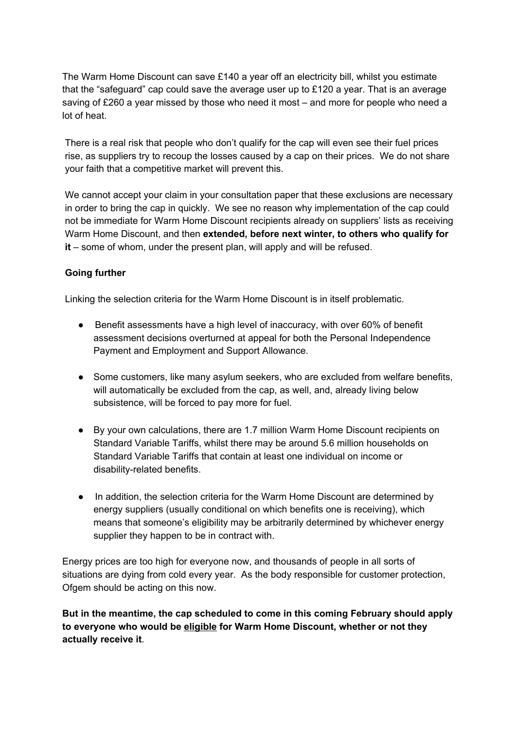The Warm Home Discount can save £140 a year off an electricity bill, whilst you estimate that the "safeguard" cap could save the average user up to £120 a year. That is an average saving of £260 a year missed by those who need it most – and more for people who need a lot of heat.

There is a real risk that people who don't qualify for the cap will even see their fuel prices rise, as suppliers try to recoup the losses caused by a cap on their prices. We do not share your faith that a competitive market will prevent this.

We cannot accept your claim in your consultation paper that these exclusions are necessary in order to bring the cap in quickly. We see no reason why implementation of the cap could not be immediate for Warm Home Discount recipients already on suppliers' lists as receiving Warm Home Discount, and then **extended, before next winter, to others who qualify for it** – some of whom, under the present plan, will apply and will be refused.

## **Going further**

Linking the selection criteria for the Warm Home Discount is in itself problematic.

- Benefit assessments have a high level of inaccuracy, with over 60% of benefit assessment decisions overturned at appeal for both the Personal Independence Payment and Employment and Support Allowance.
- Some customers, like many asylum seekers, who are excluded from welfare benefits, will automatically be excluded from the cap, as well, and, already living below subsistence, will be forced to pay more for fuel.
- By your own calculations, there are 1.7 million Warm Home Discount recipients on Standard Variable Tariffs, whilst there may be around 5.6 million households on Standard Variable Tariffs that contain at least one individual on income or disability-related benefits.
- In addition, the selection criteria for the Warm Home Discount are determined by energy suppliers (usually conditional on which benefits one is receiving), which means that someone's eligibility may be arbitrarily determined by whichever energy supplier they happen to be in contract with.

Energy prices are too high for everyone now, and thousands of people in all sorts of situations are dying from cold every year. As the body responsible for customer protection, Ofgem should be acting on this now.

**But in the meantime, the cap scheduled to come in this coming February should apply to everyone who would be eligible for Warm Home Discount, whether or not they actually receive it**.